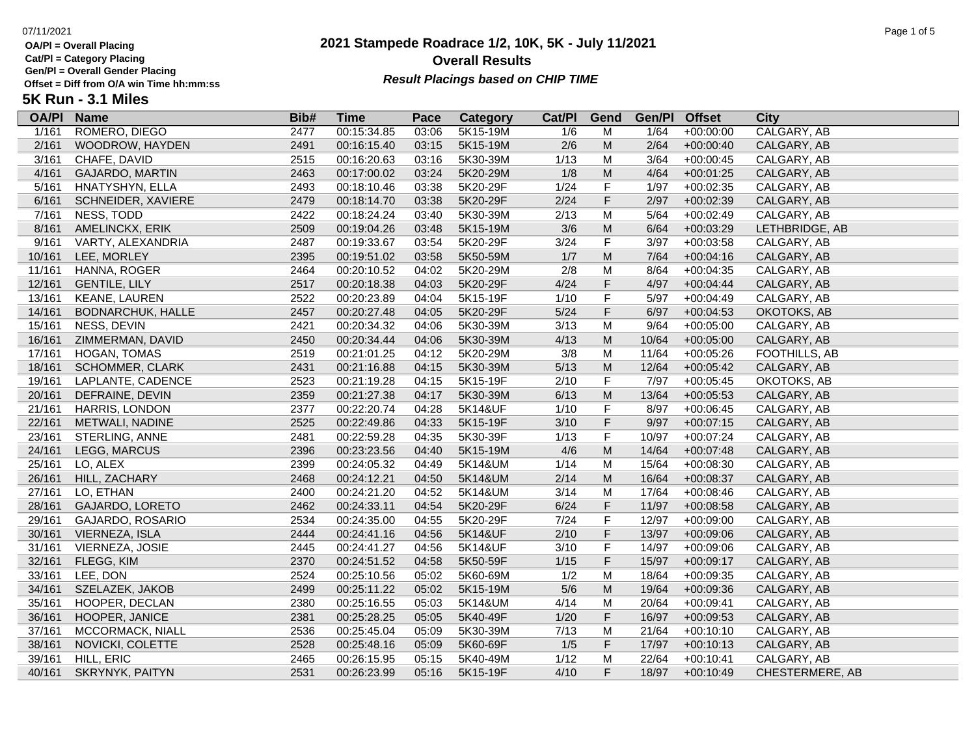**Cat/Pl = Category Placing**

**Gen/Pl = Overall Gender Placing**

## **2021 Stampede Roadrace 1/2, 10K, 5K - July 11/2021** 07/11/2021 Page 1 of 5 **Overall Results** Gen/PI = Overall Gender Placing<br>Offset = Diff from O/A win Time hh:mm:ss *Result Placings based on CHIP TIME*

# **5K Run - 3.1 Miles**

| <b>OA/PI</b> | <b>Name</b>              | Bib# | <b>Time</b> | Pace  | Category | Cat/PI | Gend      | Gen/Pl         | <b>Offset</b> | <b>City</b>            |
|--------------|--------------------------|------|-------------|-------|----------|--------|-----------|----------------|---------------|------------------------|
| 1/161        | ROMERO, DIEGO            | 2477 | 00:15:34.85 | 03:06 | 5K15-19M | 1/6    | M         | $\frac{1}{64}$ | $+00:00:00$   | CALGARY, AB            |
| 2/161        | WOODROW, HAYDEN          | 2491 | 00:16:15.40 | 03:15 | 5K15-19M | 2/6    | M         | 2/64           | $+00:00:40$   | CALGARY, AB            |
| 3/161        | CHAFE, DAVID             | 2515 | 00:16:20.63 | 03:16 | 5K30-39M | 1/13   | M         | 3/64           | $+00:00:45$   | CALGARY, AB            |
| 4/161        | <b>GAJARDO, MARTIN</b>   | 2463 | 00:17:00.02 | 03:24 | 5K20-29M | 1/8    | ${\sf M}$ | 4/64           | $+00:01:25$   | CALGARY, AB            |
| 5/161        | HNATYSHYN, ELLA          | 2493 | 00:18:10.46 | 03:38 | 5K20-29F | 1/24   | F         | 1/97           | $+00:02:35$   | CALGARY, AB            |
| 6/161        | SCHNEIDER, XAVIERE       | 2479 | 00:18:14.70 | 03:38 | 5K20-29F | 2/24   | F         | 2/97           | $+00:02:39$   | CALGARY, AB            |
| 7/161        | NESS, TODD               | 2422 | 00:18:24.24 | 03:40 | 5K30-39M | 2/13   | M         | 5/64           | $+00:02:49$   | CALGARY, AB            |
| 8/161        | AMELINCKX, ERIK          | 2509 | 00:19:04.26 | 03:48 | 5K15-19M | 3/6    | ${\sf M}$ | 6/64           | $+00:03:29$   | LETHBRIDGE, AB         |
| 9/161        | VARTY, ALEXANDRIA        | 2487 | 00:19:33.67 | 03:54 | 5K20-29F | 3/24   | F         | 3/97           | $+00:03:58$   | CALGARY, AB            |
| 10/161       | LEE, MORLEY              | 2395 | 00:19:51.02 | 03:58 | 5K50-59M | 1/7    | ${\sf M}$ | $7/64$         | $+00:04:16$   | CALGARY, AB            |
| 11/161       | HANNA, ROGER             | 2464 | 00:20:10.52 | 04:02 | 5K20-29M | 2/8    | M         | 8/64           | $+00:04:35$   | CALGARY, AB            |
| 12/161       | <b>GENTILE, LILY</b>     | 2517 | 00:20:18.38 | 04:03 | 5K20-29F | 4/24   | F         | 4/97           | $+00:04:44$   | CALGARY, AB            |
| 13/161       | KEANE, LAUREN            | 2522 | 00:20:23.89 | 04:04 | 5K15-19F | 1/10   | F         | 5/97           | $+00:04:49$   | CALGARY, AB            |
| 14/161       | <b>BODNARCHUK, HALLE</b> | 2457 | 00:20:27.48 | 04:05 | 5K20-29F | $5/24$ | F         | 6/97           | $+00:04:53$   | OKOTOKS, AB            |
| 15/161       | NESS, DEVIN              | 2421 | 00:20:34.32 | 04:06 | 5K30-39M | 3/13   | M         | 9/64           | $+00:05:00$   | CALGARY, AB            |
| 16/161       | ZIMMERMAN, DAVID         | 2450 | 00:20:34.44 | 04:06 | 5K30-39M | 4/13   | ${\sf M}$ | 10/64          | $+00:05:00$   | CALGARY, AB            |
| 17/161       | HOGAN, TOMAS             | 2519 | 00:21:01.25 | 04:12 | 5K20-29M | 3/8    | M         | 11/64          | $+00:05:26$   | FOOTHILLS, AB          |
| 18/161       | <b>SCHOMMER, CLARK</b>   | 2431 | 00:21:16.88 | 04:15 | 5K30-39M | 5/13   | ${\sf M}$ | 12/64          | $+00:05:42$   | CALGARY, AB            |
| 19/161       | LAPLANTE, CADENCE        | 2523 | 00:21:19.28 | 04:15 | 5K15-19F | 2/10   | F         | 7/97           | $+00:05:45$   | OKOTOKS, AB            |
| 20/161       | DEFRAINE, DEVIN          | 2359 | 00:21:27.38 | 04:17 | 5K30-39M | 6/13   | ${\sf M}$ | 13/64          | $+00:05:53$   | CALGARY, AB            |
| 21/161       | HARRIS, LONDON           | 2377 | 00:22:20.74 | 04:28 | 5K14&UF  | 1/10   | F         | 8/97           | $+00:06:45$   | CALGARY, AB            |
| 22/161       | METWALI, NADINE          | 2525 | 00:22:49.86 | 04:33 | 5K15-19F | 3/10   | F         | 9/97           | $+00:07:15$   | CALGARY, AB            |
| 23/161       | STERLING, ANNE           | 2481 | 00:22:59.28 | 04:35 | 5K30-39F | 1/13   | F         | 10/97          | $+00:07:24$   | CALGARY, AB            |
| 24/161       | LEGG, MARCUS             | 2396 | 00:23:23.56 | 04:40 | 5K15-19M | 4/6    | ${\sf M}$ | 14/64          | $+00:07:48$   | CALGARY, AB            |
| 25/161       | LO, ALEX                 | 2399 | 00:24:05.32 | 04:49 | 5K14&UM  | 1/14   | M         | 15/64          | $+00:08:30$   | CALGARY, AB            |
| 26/161       | HILL, ZACHARY            | 2468 | 00:24:12.21 | 04:50 | 5K14&UM  | 2/14   | ${\sf M}$ | 16/64          | $+00:08:37$   | CALGARY, AB            |
| 27/161       | LO, ETHAN                | 2400 | 00:24:21.20 | 04:52 | 5K14&UM  | 3/14   | M         | 17/64          | $+00:08:46$   | CALGARY, AB            |
| 28/161       | GAJARDO, LORETO          | 2462 | 00:24:33.11 | 04:54 | 5K20-29F | 6/24   | F         | 11/97          | $+00:08:58$   | CALGARY, AB            |
| 29/161       | GAJARDO, ROSARIO         | 2534 | 00:24:35.00 | 04:55 | 5K20-29F | 7/24   | F         | 12/97          | $+00:09:00$   | CALGARY, AB            |
| 30/161       | VIERNEZA, ISLA           | 2444 | 00:24:41.16 | 04:56 | 5K14&UF  | 2/10   | F         | 13/97          | $+00:09:06$   | CALGARY, AB            |
| 31/161       | VIERNEZA, JOSIE          | 2445 | 00:24:41.27 | 04:56 | 5K14&UF  | 3/10   | F         | 14/97          | $+00:09:06$   | CALGARY, AB            |
| 32/161       | FLEGG, KIM               | 2370 | 00:24:51.52 | 04:58 | 5K50-59F | $1/15$ | F         | 15/97          | $+00:09:17$   | CALGARY, AB            |
| 33/161       | LEE, DON                 | 2524 | 00:25:10.56 | 05:02 | 5K60-69M | 1/2    | M         | 18/64          | $+00:09:35$   | CALGARY, AB            |
| 34/161       | SZELAZEK, JAKOB          | 2499 | 00:25:11.22 | 05:02 | 5K15-19M | $5/6$  | ${\sf M}$ | 19/64          | $+00:09:36$   | CALGARY, AB            |
| 35/161       | HOOPER, DECLAN           | 2380 | 00:25:16.55 | 05:03 | 5K14&UM  | 4/14   | M         | 20/64          | $+00:09:41$   | CALGARY, AB            |
| 36/161       | HOOPER, JANICE           | 2381 | 00:25:28.25 | 05:05 | 5K40-49F | 1/20   | F         | 16/97          | $+00:09:53$   | CALGARY, AB            |
| 37/161       | MCCORMACK, NIALL         | 2536 | 00:25:45.04 | 05:09 | 5K30-39M | 7/13   | M         | 21/64          | $+00:10:10$   | CALGARY, AB            |
| 38/161       | NOVICKI, COLETTE         | 2528 | 00:25:48.16 | 05:09 | 5K60-69F | 1/5    | F         | 17/97          | $+00:10:13$   | CALGARY, AB            |
| 39/161       | HILL, ERIC               | 2465 | 00:26:15.95 | 05:15 | 5K40-49M | 1/12   | M         | 22/64          | $+00:10:41$   | CALGARY, AB            |
| 40/161       | <b>SKRYNYK, PAITYN</b>   | 2531 | 00:26:23.99 | 05:16 | 5K15-19F | 4/10   | F         | 18/97          | $+00:10:49$   | <b>CHESTERMERE, AB</b> |
|              |                          |      |             |       |          |        |           |                |               |                        |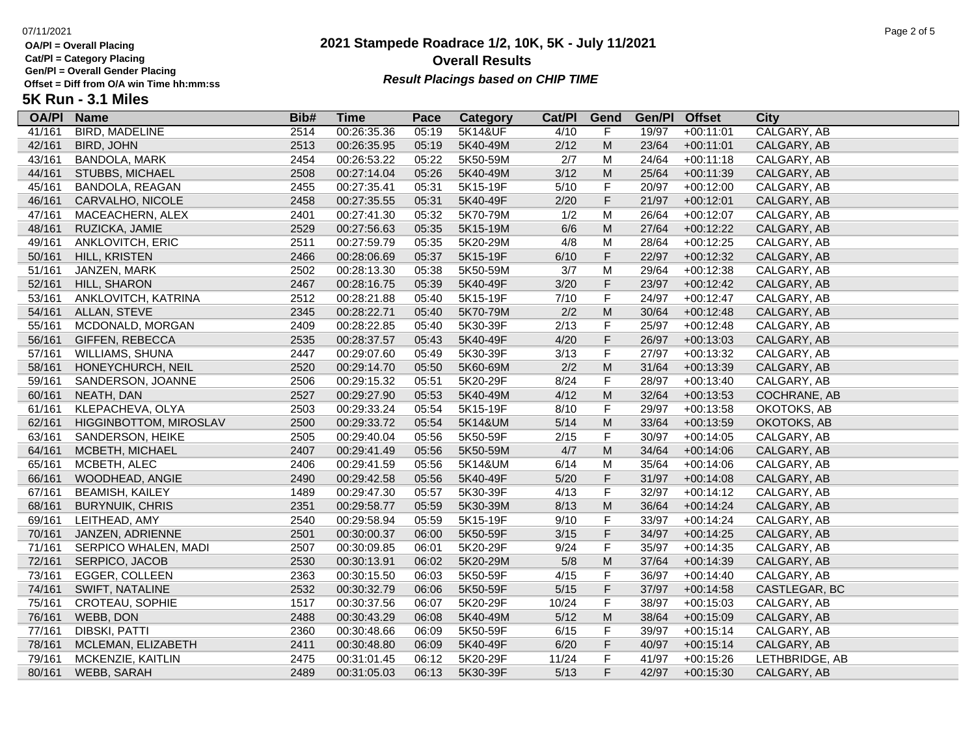**Cat/Pl = Category Placing**

**Gen/Pl = Overall Gender Placing**

**5K Run - 3.1 Miles**

## **2021 Stampede Roadrace 1/2, 10K, 5K - July 11/2021** 07/11/2021 Page 2 of 5 **Overall Results** Gen/PI = Overall Gender Placing<br>Offset = Diff from O/A win Time hh:mm:ss *Result Placings based on CHIP TIME*

| <b>OA/PI</b> | <b>Name</b>            | Bib# | <b>Time</b> | Pace  | Category | Cat/PI | Gend                                                                                                       | Gen/Pl | <b>Offset</b> | City           |
|--------------|------------------------|------|-------------|-------|----------|--------|------------------------------------------------------------------------------------------------------------|--------|---------------|----------------|
| 41/161       | BIRD, MADELINE         | 2514 | 00:26:35.36 | 05:19 | 5K14&UF  | 4/10   | F                                                                                                          | 19/97  | $+00:11:01$   | CALGARY, AB    |
| 42/161       | <b>BIRD, JOHN</b>      | 2513 | 00:26:35.95 | 05:19 | 5K40-49M | 2/12   | M                                                                                                          | 23/64  | $+00:11:01$   | CALGARY, AB    |
| 43/161       | BANDOLA, MARK          | 2454 | 00:26:53.22 | 05:22 | 5K50-59M | 2/7    | M                                                                                                          | 24/64  | $+00:11:18$   | CALGARY, AB    |
| 44/161       | <b>STUBBS, MICHAEL</b> | 2508 | 00:27:14.04 | 05:26 | 5K40-49M | 3/12   | M                                                                                                          | 25/64  | $+00:11:39$   | CALGARY, AB    |
| 45/161       | BANDOLA, REAGAN        | 2455 | 00:27:35.41 | 05:31 | 5K15-19F | 5/10   | F                                                                                                          | 20/97  | $+00:12:00$   | CALGARY, AB    |
| 46/161       | CARVALHO, NICOLE       | 2458 | 00:27:35.55 | 05:31 | 5K40-49F | 2/20   | $\mathsf F$                                                                                                | 21/97  | $+00:12:01$   | CALGARY, AB    |
| 47/161       | MACEACHERN, ALEX       | 2401 | 00:27:41.30 | 05:32 | 5K70-79M | 1/2    | M                                                                                                          | 26/64  | $+00:12:07$   | CALGARY, AB    |
| 48/161       | RUZICKA, JAMIE         | 2529 | 00:27:56.63 | 05:35 | 5K15-19M | 6/6    | $\mathsf{M}% _{T}=\mathsf{M}_{T}\!\left( a,b\right) ,\ \mathsf{M}_{T}=\mathsf{M}_{T}\!\left( a,b\right) ,$ | 27/64  | $+00:12:22$   | CALGARY, AB    |
| 49/161       | ANKLOVITCH, ERIC       | 2511 | 00:27:59.79 | 05:35 | 5K20-29M | 4/8    | M                                                                                                          | 28/64  | $+00:12:25$   | CALGARY, AB    |
| 50/161       | HILL, KRISTEN          | 2466 | 00:28:06.69 | 05:37 | 5K15-19F | 6/10   | $\mathsf F$                                                                                                | 22/97  | $+00:12:32$   | CALGARY, AB    |
| 51/161       | JANZEN, MARK           | 2502 | 00:28:13.30 | 05:38 | 5K50-59M | 3/7    | M                                                                                                          | 29/64  | $+00:12:38$   | CALGARY, AB    |
| 52/161       | HILL, SHARON           | 2467 | 00:28:16.75 | 05:39 | 5K40-49F | 3/20   | $\mathsf F$                                                                                                | 23/97  | $+00:12:42$   | CALGARY, AB    |
| 53/161       | ANKLOVITCH, KATRINA    | 2512 | 00:28:21.88 | 05:40 | 5K15-19F | 7/10   | F                                                                                                          | 24/97  | $+00:12:47$   | CALGARY, AB    |
| 54/161       | <b>ALLAN, STEVE</b>    | 2345 | 00:28:22.71 | 05:40 | 5K70-79M | 2/2    | M                                                                                                          | 30/64  | $+00:12:48$   | CALGARY, AB    |
| 55/161       | MCDONALD, MORGAN       | 2409 | 00:28:22.85 | 05:40 | 5K30-39F | 2/13   | F                                                                                                          | 25/97  | $+00:12:48$   | CALGARY, AB    |
| 56/161       | GIFFEN, REBECCA        | 2535 | 00:28:37.57 | 05:43 | 5K40-49F | 4/20   | F                                                                                                          | 26/97  | $+00:13:03$   | CALGARY, AB    |
| 57/161       | WILLIAMS, SHUNA        | 2447 | 00:29:07.60 | 05:49 | 5K30-39F | 3/13   | F                                                                                                          | 27/97  | $+00:13:32$   | CALGARY, AB    |
| 58/161       | HONEYCHURCH, NEIL      | 2520 | 00:29:14.70 | 05:50 | 5K60-69M | 2/2    | ${\sf M}$                                                                                                  | 31/64  | $+00:13:39$   | CALGARY, AB    |
| 59/161       | SANDERSON, JOANNE      | 2506 | 00:29:15.32 | 05:51 | 5K20-29F | 8/24   | $\mathsf F$                                                                                                | 28/97  | $+00:13:40$   | CALGARY, AB    |
| 60/161       | NEATH, DAN             | 2527 | 00:29:27.90 | 05:53 | 5K40-49M | 4/12   | $\mathsf{M}% _{T}=\mathsf{M}_{T}\!\left( a,b\right) ,\ \mathsf{M}_{T}=\mathsf{M}_{T}\!\left( a,b\right) ,$ | 32/64  | $+00:13:53$   | COCHRANE, AB   |
| 61/161       | KLEPACHEVA, OLYA       | 2503 | 00:29:33.24 | 05:54 | 5K15-19F | 8/10   | $\mathsf F$                                                                                                | 29/97  | $+00:13:58$   | OKOTOKS, AB    |
| 62/161       | HIGGINBOTTOM, MIROSLAV | 2500 | 00:29:33.72 | 05:54 | 5K14&UM  | $5/14$ | ${\sf M}$                                                                                                  | 33/64  | $+00:13:59$   | OKOTOKS, AB    |
| 63/161       | SANDERSON, HEIKE       | 2505 | 00:29:40.04 | 05:56 | 5K50-59F | 2/15   | F                                                                                                          | 30/97  | $+00:14:05$   | CALGARY, AB    |
| 64/161       | MCBETH, MICHAEL        | 2407 | 00:29:41.49 | 05:56 | 5K50-59M | 4/7    | M                                                                                                          | 34/64  | $+00:14:06$   | CALGARY, AB    |
| 65/161       | MCBETH, ALEC           | 2406 | 00:29:41.59 | 05:56 | 5K14&UM  | 6/14   | M                                                                                                          | 35/64  | $+00:14:06$   | CALGARY, AB    |
| 66/161       | WOODHEAD, ANGIE        | 2490 | 00:29:42.58 | 05:56 | 5K40-49F | 5/20   | $\mathsf F$                                                                                                | 31/97  | $+00:14:08$   | CALGARY, AB    |
| 67/161       | <b>BEAMISH, KAILEY</b> | 1489 | 00:29:47.30 | 05:57 | 5K30-39F | 4/13   | F                                                                                                          | 32/97  | $+00:14:12$   | CALGARY, AB    |
| 68/161       | <b>BURYNUIK, CHRIS</b> | 2351 | 00:29:58.77 | 05:59 | 5K30-39M | 8/13   | ${\sf M}$                                                                                                  | 36/64  | $+00:14:24$   | CALGARY, AB    |
| 69/161       | LEITHEAD, AMY          | 2540 | 00:29:58.94 | 05:59 | 5K15-19F | 9/10   | F                                                                                                          | 33/97  | $+00:14:24$   | CALGARY, AB    |
| 70/161       | JANZEN, ADRIENNE       | 2501 | 00:30:00.37 | 06:00 | 5K50-59F | 3/15   | $\mathsf F$                                                                                                | 34/97  | $+00:14:25$   | CALGARY, AB    |
| 71/161       | SERPICO WHALEN, MADI   | 2507 | 00:30:09.85 | 06:01 | 5K20-29F | 9/24   | F                                                                                                          | 35/97  | $+00:14:35$   | CALGARY, AB    |
| 72/161       | SERPICO, JACOB         | 2530 | 00:30:13.91 | 06:02 | 5K20-29M | 5/8    | ${\sf M}$                                                                                                  | 37/64  | $+00:14:39$   | CALGARY, AB    |
| 73/161       | EGGER, COLLEEN         | 2363 | 00:30:15.50 | 06:03 | 5K50-59F | 4/15   | $\mathsf F$                                                                                                | 36/97  | $+00:14:40$   | CALGARY, AB    |
| 74/161       | SWIFT, NATALINE        | 2532 | 00:30:32.79 | 06:06 | 5K50-59F | $5/15$ | F                                                                                                          | 37/97  | $+00:14:58$   | CASTLEGAR, BC  |
| 75/161       | CROTEAU, SOPHIE        | 1517 | 00:30:37.56 | 06:07 | 5K20-29F | 10/24  | F                                                                                                          | 38/97  | $+00:15:03$   | CALGARY, AB    |
| 76/161       | WEBB, DON              | 2488 | 00:30:43.29 | 06:08 | 5K40-49M | $5/12$ | ${\sf M}$                                                                                                  | 38/64  | $+00:15:09$   | CALGARY, AB    |
| 77/161       | DIBSKI, PATTI          | 2360 | 00:30:48.66 | 06:09 | 5K50-59F | 6/15   | F                                                                                                          | 39/97  | $+00:15:14$   | CALGARY, AB    |
| 78/161       | MCLEMAN, ELIZABETH     | 2411 | 00:30:48.80 | 06:09 | 5K40-49F | 6/20   | F                                                                                                          | 40/97  | $+00:15:14$   | CALGARY, AB    |
| 79/161       | MCKENZIE, KAITLIN      | 2475 | 00:31:01.45 | 06:12 | 5K20-29F | 11/24  | F                                                                                                          | 41/97  | $+00:15:26$   | LETHBRIDGE, AB |
| 80/161       | WEBB, SARAH            | 2489 | 00:31:05.03 | 06:13 | 5K30-39F | 5/13   | F                                                                                                          | 42/97  | $+00:15:30$   | CALGARY, AB    |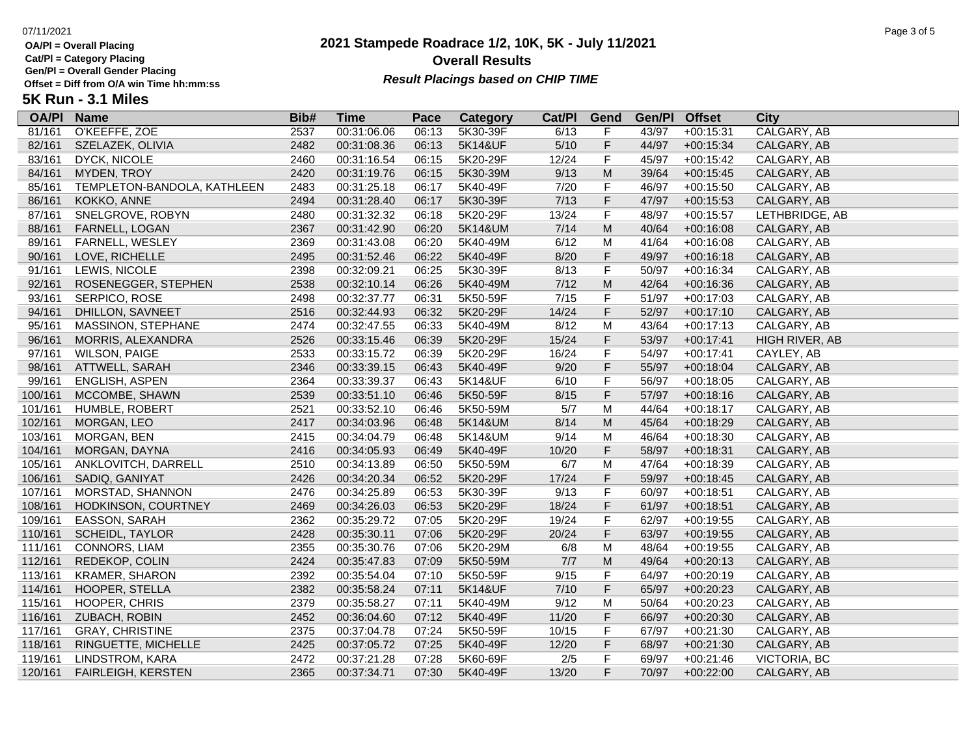**Cat/Pl = Category Placing**

**Gen/Pl = Overall Gender Placing**

**5K Run - 3.1 Miles**

## **2021 Stampede Roadrace 1/2, 10K, 5K - July 11/2021** 07/11/2021 Page 3 of 5 **Overall Results** Gen/PI = Overall Gender Placing<br>Offset = Diff from O/A win Time hh:mm:ss *Result Placings based on CHIP TIME*

| <b>OA/PI</b> | <b>Name</b>                 | Bib# | Time        | Pace  | Category | Cat/PI | Gend        | Gen/Pl | <b>Offset</b> | <b>City</b>         |
|--------------|-----------------------------|------|-------------|-------|----------|--------|-------------|--------|---------------|---------------------|
| 81/161       | O'KEEFFE, ZOE               | 2537 | 00:31:06.06 | 06:13 | 5K30-39F | 6/13   | F           | 43/97  | $+00:15:31$   | CALGARY, AB         |
| 82/161       | SZELAZEK, OLIVIA            | 2482 | 00:31:08.36 | 06:13 | 5K14&UF  | $5/10$ | F           | 44/97  | $+00:15:34$   | CALGARY, AB         |
| 83/161       | <b>DYCK, NICOLE</b>         | 2460 | 00:31:16.54 | 06:15 | 5K20-29F | 12/24  | F           | 45/97  | $+00:15:42$   | CALGARY, AB         |
| 84/161       | MYDEN, TROY                 | 2420 | 00:31:19.76 | 06:15 | 5K30-39M | 9/13   | M           | 39/64  | $+00:15:45$   | CALGARY, AB         |
| 85/161       | TEMPLETON-BANDOLA, KATHLEEN | 2483 | 00:31:25.18 | 06:17 | 5K40-49F | 7/20   | F           | 46/97  | $+00:15:50$   | CALGARY, AB         |
| 86/161       | KOKKO, ANNE                 | 2494 | 00:31:28.40 | 06:17 | 5K30-39F | 7/13   | F           | 47/97  | $+00:15:53$   | CALGARY, AB         |
| 87/161       | SNELGROVE, ROBYN            | 2480 | 00:31:32.32 | 06:18 | 5K20-29F | 13/24  | $\mathsf F$ | 48/97  | $+00:15:57$   | LETHBRIDGE, AB      |
| 88/161       | FARNELL, LOGAN              | 2367 | 00:31:42.90 | 06:20 | 5K14&UM  | 7/14   | ${\sf M}$   | 40/64  | $+00:16:08$   | CALGARY, AB         |
| 89/161       | FARNELL, WESLEY             | 2369 | 00:31:43.08 | 06:20 | 5K40-49M | 6/12   | M           | 41/64  | $+00:16:08$   | CALGARY, AB         |
| 90/161       | LOVE, RICHELLE              | 2495 | 00:31:52.46 | 06:22 | 5K40-49F | 8/20   | F           | 49/97  | $+00:16:18$   | CALGARY, AB         |
| 91/161       | LEWIS, NICOLE               | 2398 | 00:32:09.21 | 06:25 | 5K30-39F | 8/13   | $\mathsf F$ | 50/97  | $+00:16:34$   | CALGARY, AB         |
| 92/161       | ROSENEGGER, STEPHEN         | 2538 | 00:32:10.14 | 06:26 | 5K40-49M | 7/12   | ${\sf M}$   | 42/64  | $+00:16:36$   | CALGARY, AB         |
| 93/161       | SERPICO, ROSE               | 2498 | 00:32:37.77 | 06:31 | 5K50-59F | 7/15   | $\mathsf F$ | 51/97  | $+00:17:03$   | CALGARY, AB         |
| 94/161       | DHILLON, SAVNEET            | 2516 | 00:32:44.93 | 06:32 | 5K20-29F | 14/24  | F           | 52/97  | $+00:17:10$   | CALGARY, AB         |
| 95/161       | MASSINON, STEPHANE          | 2474 | 00:32:47.55 | 06:33 | 5K40-49M | 8/12   | M           | 43/64  | $+00:17:13$   | CALGARY, AB         |
| 96/161       | MORRIS, ALEXANDRA           | 2526 | 00:33:15.46 | 06:39 | 5K20-29F | 15/24  | F           | 53/97  | $+00:17:41$   | HIGH RIVER, AB      |
| 97/161       | <b>WILSON, PAIGE</b>        | 2533 | 00:33:15.72 | 06:39 | 5K20-29F | 16/24  | F           | 54/97  | $+00:17:41$   | CAYLEY, AB          |
| 98/161       | ATTWELL, SARAH              | 2346 | 00:33:39.15 | 06:43 | 5K40-49F | 9/20   | F           | 55/97  | $+00:18:04$   | CALGARY, AB         |
| 99/161       | ENGLISH, ASPEN              | 2364 | 00:33:39.37 | 06:43 | 5K14&UF  | 6/10   | $\mathsf F$ | 56/97  | $+00:18:05$   | CALGARY, AB         |
| 100/161      | MCCOMBE, SHAWN              | 2539 | 00:33:51.10 | 06:46 | 5K50-59F | 8/15   | F           | 57/97  | $+00:18:16$   | CALGARY, AB         |
| 101/161      | HUMBLE, ROBERT              | 2521 | 00:33:52.10 | 06:46 | 5K50-59M | 5/7    | M           | 44/64  | $+00:18:17$   | CALGARY, AB         |
| 102/161      | MORGAN, LEO                 | 2417 | 00:34:03.96 | 06:48 | 5K14&UM  | 8/14   | ${\sf M}$   | 45/64  | $+00:18:29$   | CALGARY, AB         |
| 103/161      | MORGAN, BEN                 | 2415 | 00:34:04.79 | 06:48 | 5K14&UM  | 9/14   | M           | 46/64  | $+00:18:30$   | CALGARY, AB         |
| 104/161      | MORGAN, DAYNA               | 2416 | 00:34:05.93 | 06:49 | 5K40-49F | 10/20  | F           | 58/97  | $+00:18:31$   | CALGARY, AB         |
| 105/161      | ANKLOVITCH, DARRELL         | 2510 | 00:34:13.89 | 06:50 | 5K50-59M | 6/7    | M           | 47/64  | $+00:18:39$   | CALGARY, AB         |
| 106/161      | SADIQ, GANIYAT              | 2426 | 00:34:20.34 | 06:52 | 5K20-29F | 17/24  | F           | 59/97  | $+00:18:45$   | CALGARY, AB         |
| 107/161      | MORSTAD, SHANNON            | 2476 | 00:34:25.89 | 06:53 | 5K30-39F | 9/13   | F           | 60/97  | $+00:18:51$   | CALGARY, AB         |
| 108/161      | HODKINSON, COURTNEY         | 2469 | 00:34:26.03 | 06:53 | 5K20-29F | 18/24  | F           | 61/97  | $+00:18:51$   | CALGARY, AB         |
| 109/161      | EASSON, SARAH               | 2362 | 00:35:29.72 | 07:05 | 5K20-29F | 19/24  | $\mathsf F$ | 62/97  | $+00:19:55$   | CALGARY, AB         |
| 110/161      | <b>SCHEIDL, TAYLOR</b>      | 2428 | 00:35:30.11 | 07:06 | 5K20-29F | 20/24  | F           | 63/97  | $+00:19:55$   | CALGARY, AB         |
| 111/161      | <b>CONNORS, LIAM</b>        | 2355 | 00:35:30.76 | 07:06 | 5K20-29M | 6/8    | M           | 48/64  | $+00:19:55$   | CALGARY, AB         |
| 112/161      | REDEKOP, COLIN              | 2424 | 00:35:47.83 | 07:09 | 5K50-59M | 7/7    | ${\sf M}$   | 49/64  | $+00:20:13$   | CALGARY, AB         |
| 113/161      | <b>KRAMER, SHARON</b>       | 2392 | 00:35:54.04 | 07:10 | 5K50-59F | 9/15   | F           | 64/97  | $+00:20:19$   | CALGARY, AB         |
| 114/161      | HOOPER, STELLA              | 2382 | 00:35:58.24 | 07:11 | 5K14&UF  | $7/10$ | F           | 65/97  | $+00:20:23$   | CALGARY, AB         |
| 115/161      | HOOPER, CHRIS               | 2379 | 00:35:58.27 | 07:11 | 5K40-49M | 9/12   | M           | 50/64  | $+00:20:23$   | CALGARY, AB         |
| 116/161      | ZUBACH, ROBIN               | 2452 | 00:36:04.60 | 07:12 | 5K40-49F | 11/20  | F           | 66/97  | $+00:20:30$   | CALGARY, AB         |
| 117/161      | <b>GRAY, CHRISTINE</b>      | 2375 | 00:37:04.78 | 07:24 | 5K50-59F | 10/15  | F           | 67/97  | $+00:21:30$   | CALGARY, AB         |
| 118/161      | RINGUETTE, MICHELLE         | 2425 | 00:37:05.72 | 07:25 | 5K40-49F | 12/20  | F           | 68/97  | $+00:21:30$   | CALGARY, AB         |
| 119/161      | LINDSTROM, KARA             | 2472 | 00:37:21.28 | 07:28 | 5K60-69F | 2/5    | $\mathsf F$ | 69/97  | $+00:21:46$   | <b>VICTORIA, BC</b> |
| 120/161      | <b>FAIRLEIGH, KERSTEN</b>   | 2365 | 00:37:34.71 | 07:30 | 5K40-49F | 13/20  | F           | 70/97  | $+00:22:00$   | CALGARY, AB         |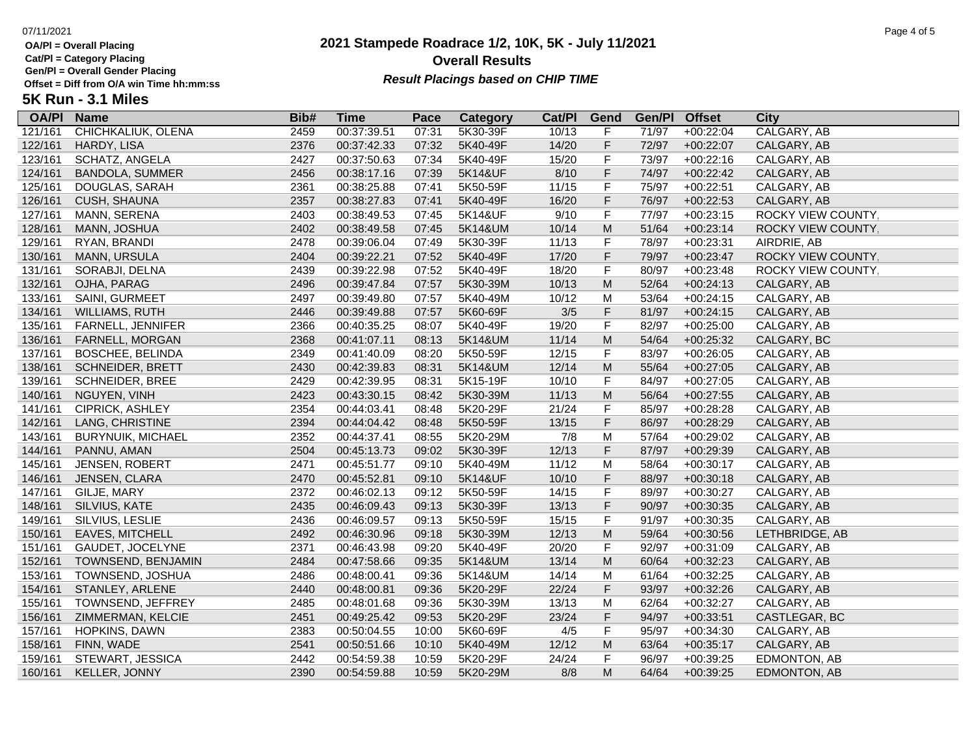**Cat/Pl = Category Placing**

**Gen/Pl = Overall Gender Placing**

**5K Run - 3.1 Miles**

### **2021 Stampede Roadrace 1/2, 10K, 5K - July 11/2021** 07/11/2021 Page 4 of 5 **Overall Results Result Placings based on CHIP TIME**

| <b>OA/PI</b> | <b>Name</b>              | Bib# | <b>Time</b> | Pace  | <b>Category</b> | Cat/PI | Gend                                                                                                       | Gen/Pl | <b>Offset</b> | <b>City</b>        |
|--------------|--------------------------|------|-------------|-------|-----------------|--------|------------------------------------------------------------------------------------------------------------|--------|---------------|--------------------|
| 121/161      | CHICHKALIUK, OLENA       | 2459 | 00:37:39.51 | 07:31 | 5K30-39F        | 10/13  | F                                                                                                          | 71/97  | $+00:22:04$   | CALGARY, AB        |
| 122/161      | HARDY, LISA              | 2376 | 00:37:42.33 | 07:32 | 5K40-49F        | 14/20  | F                                                                                                          | 72/97  | $+00:22:07$   | CALGARY, AB        |
| 123/161      | SCHATZ, ANGELA           | 2427 | 00:37:50.63 | 07:34 | 5K40-49F        | 15/20  | F                                                                                                          | 73/97  | $+00:22:16$   | CALGARY, AB        |
| 124/161      | <b>BANDOLA, SUMMER</b>   | 2456 | 00:38:17.16 | 07:39 | 5K14&UF         | 8/10   | F                                                                                                          | 74/97  | $+00:22:42$   | CALGARY, AB        |
| 125/161      | DOUGLAS, SARAH           | 2361 | 00:38:25.88 | 07:41 | 5K50-59F        | 11/15  | F                                                                                                          | 75/97  | $+00:22:51$   | CALGARY, AB        |
| 126/161      | CUSH, SHAUNA             | 2357 | 00:38:27.83 | 07:41 | 5K40-49F        | 16/20  | F                                                                                                          | 76/97  | $+00:22:53$   | CALGARY, AB        |
| 127/161      | MANN, SERENA             | 2403 | 00:38:49.53 | 07:45 | 5K14&UF         | 9/10   | F                                                                                                          | 77/97  | $+00:23:15$   | ROCKY VIEW COUNTY. |
| 128/161      | MANN, JOSHUA             | 2402 | 00:38:49.58 | 07:45 | 5K14&UM         | 10/14  | M                                                                                                          | 51/64  | $+00:23:14$   | ROCKY VIEW COUNTY, |
| 129/161      | RYAN, BRANDI             | 2478 | 00:39:06.04 | 07:49 | 5K30-39F        | 11/13  | F                                                                                                          | 78/97  | $+00:23:31$   | AIRDRIE, AB        |
| 130/161      | MANN, URSULA             | 2404 | 00:39:22.21 | 07:52 | 5K40-49F        | 17/20  | F                                                                                                          | 79/97  | $+00:23:47$   | ROCKY VIEW COUNTY, |
| 131/161      | SORABJI, DELNA           | 2439 | 00:39:22.98 | 07:52 | 5K40-49F        | 18/20  | F                                                                                                          | 80/97  | $+00:23:48$   | ROCKY VIEW COUNTY, |
| 132/161      | OJHA, PARAG              | 2496 | 00:39:47.84 | 07:57 | 5K30-39M        | 10/13  | $\mathsf{M}% _{T}=\mathsf{M}_{T}\!\left( a,b\right) ,\ \mathsf{M}_{T}=\mathsf{M}_{T}\!\left( a,b\right) ,$ | 52/64  | $+00:24:13$   | CALGARY, AB        |
| 133/161      | SAINI, GURMEET           | 2497 | 00:39:49.80 | 07:57 | 5K40-49M        | 10/12  | M                                                                                                          | 53/64  | $+00:24:15$   | CALGARY, AB        |
| 134/161      | WILLIAMS, RUTH           | 2446 | 00:39:49.88 | 07:57 | 5K60-69F        | 3/5    | F                                                                                                          | 81/97  | $+00:24:15$   | CALGARY, AB        |
| 135/161      | FARNELL, JENNIFER        | 2366 | 00:40:35.25 | 08:07 | 5K40-49F        | 19/20  | F                                                                                                          | 82/97  | $+00:25:00$   | CALGARY, AB        |
| 136/161      | FARNELL, MORGAN          | 2368 | 00:41:07.11 | 08:13 | 5K14&UM         | 11/14  | M                                                                                                          | 54/64  | $+00:25:32$   | CALGARY, BC        |
| 137/161      | <b>BOSCHEE, BELINDA</b>  | 2349 | 00:41:40.09 | 08:20 | 5K50-59F        | 12/15  | F                                                                                                          | 83/97  | $+00:26:05$   | CALGARY, AB        |
| 138/161      | <b>SCHNEIDER, BRETT</b>  | 2430 | 00:42:39.83 | 08:31 | 5K14&UM         | 12/14  | ${\sf M}$                                                                                                  | 55/64  | $+00:27:05$   | CALGARY, AB        |
| 139/161      | <b>SCHNEIDER, BREE</b>   | 2429 | 00:42:39.95 | 08:31 | 5K15-19F        | 10/10  | F                                                                                                          | 84/97  | $+00:27:05$   | CALGARY, AB        |
| 140/161      | NGUYEN, VINH             | 2423 | 00:43:30.15 | 08:42 | 5K30-39M        | 11/13  | ${\sf M}$                                                                                                  | 56/64  | $+00:27:55$   | CALGARY, AB        |
| 141/161      | CIPRICK, ASHLEY          | 2354 | 00:44:03.41 | 08:48 | 5K20-29F        | 21/24  | F                                                                                                          | 85/97  | $+00:28:28$   | CALGARY, AB        |
| 142/161      | LANG, CHRISTINE          | 2394 | 00:44:04.42 | 08:48 | 5K50-59F        | 13/15  | F                                                                                                          | 86/97  | $+00:28:29$   | CALGARY, AB        |
| 143/161      | <b>BURYNUIK, MICHAEL</b> | 2352 | 00:44:37.41 | 08:55 | 5K20-29M        | 7/8    | M                                                                                                          | 57/64  | $+00:29:02$   | CALGARY, AB        |
| 144/161      | PANNU, AMAN              | 2504 | 00:45:13.73 | 09:02 | 5K30-39F        | 12/13  | F                                                                                                          | 87/97  | $+00:29:39$   | CALGARY, AB        |
| 145/161      | <b>JENSEN, ROBERT</b>    | 2471 | 00:45:51.77 | 09:10 | 5K40-49M        | 11/12  | M                                                                                                          | 58/64  | $+00:30:17$   | CALGARY, AB        |
| 146/161      | JENSEN, CLARA            | 2470 | 00:45:52.81 | 09:10 | 5K14&UF         | 10/10  | F                                                                                                          | 88/97  | $+00:30:18$   | CALGARY, AB        |
| 147/161      | GILJE, MARY              | 2372 | 00:46:02.13 | 09:12 | 5K50-59F        | 14/15  | F                                                                                                          | 89/97  | $+00:30:27$   | CALGARY, AB        |
| 148/161      | SILVIUS, KATE            | 2435 | 00:46:09.43 | 09:13 | 5K30-39F        | 13/13  | F                                                                                                          | 90/97  | $+00:30:35$   | CALGARY, AB        |
| 149/161      | SILVIUS, LESLIE          | 2436 | 00:46:09.57 | 09:13 | 5K50-59F        | 15/15  | F                                                                                                          | 91/97  | $+00:30:35$   | CALGARY, AB        |
| 150/161      | <b>EAVES, MITCHELL</b>   | 2492 | 00:46:30.96 | 09:18 | 5K30-39M        | 12/13  | M                                                                                                          | 59/64  | $+00:30:56$   | LETHBRIDGE, AB     |
| 151/161      | GAUDET, JOCELYNE         | 2371 | 00:46:43.98 | 09:20 | 5K40-49F        | 20/20  | F                                                                                                          | 92/97  | $+00:31:09$   | CALGARY, AB        |
| 152/161      | TOWNSEND, BENJAMIN       | 2484 | 00:47:58.66 | 09:35 | 5K14&UM         | 13/14  | M                                                                                                          | 60/64  | $+00:32:23$   | CALGARY, AB        |
| 153/161      | TOWNSEND, JOSHUA         | 2486 | 00:48:00.41 | 09:36 | 5K14&UM         | 14/14  | M                                                                                                          | 61/64  | $+00:32:25$   | CALGARY, AB        |
| 154/161      | STANLEY, ARLENE          | 2440 | 00:48:00.81 | 09:36 | 5K20-29F        | 22/24  | F                                                                                                          | 93/97  | $+00:32:26$   | CALGARY, AB        |
| 155/161      | TOWNSEND, JEFFREY        | 2485 | 00:48:01.68 | 09:36 | 5K30-39M        | 13/13  | M                                                                                                          | 62/64  | $+00:32:27$   | CALGARY, AB        |
| 156/161      | ZIMMERMAN, KELCIE        | 2451 | 00:49:25.42 | 09:53 | 5K20-29F        | 23/24  | F                                                                                                          | 94/97  | $+00:33:51$   | CASTLEGAR, BC      |
| 157/161      | HOPKINS, DAWN            | 2383 | 00:50:04.55 | 10:00 | 5K60-69F        | 4/5    | F                                                                                                          | 95/97  | $+00:34:30$   | CALGARY, AB        |

158/161 FINN, WADE 2541 00:50:51.66 10:10 5K40-49M 12/12 M 63/64 +00:35:17 CALGARY, AB 159/161 STEWART, JESSICA 2442 00:54:59.38 10:59 5K20-29F 24/24 F 96/97 +00:39:25 EDMONTON, AB 160/161 KELLER, JONNY 2390 00:54:59.88 10:59 5K20-29M 8/8 M 64/64 +00:39:25 EDMONTON, AB